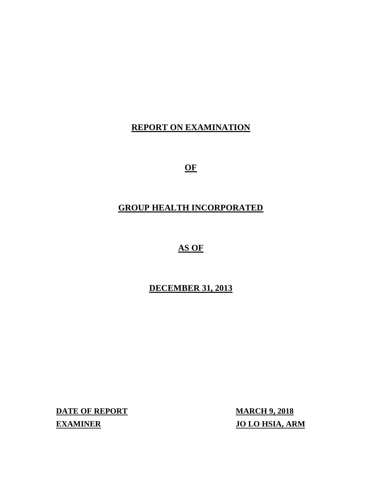# **REPORT ON EXAMINATION**

 $OF$ 

# **GROUP HEALTH INCORPORATED**

# **AS OF**

# **DECEMBER 31, 2013**

**DATE OF REPORT MARCH 9, 2018 EXAMINER** 

**JO LO HSIA, ARM**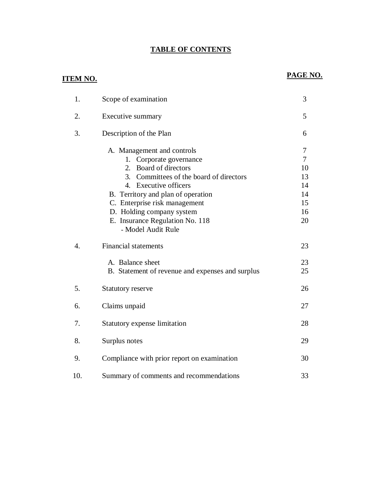#### **TABLE OF CONTENTS**

## **ITEM NO.**

## PAGE NO.

| 1.               | Scope of examination                                                                                                                                                                                                                                                                                                        | 3                                                     |
|------------------|-----------------------------------------------------------------------------------------------------------------------------------------------------------------------------------------------------------------------------------------------------------------------------------------------------------------------------|-------------------------------------------------------|
| 2.               | Executive summary                                                                                                                                                                                                                                                                                                           | 5                                                     |
| 3.               | Description of the Plan                                                                                                                                                                                                                                                                                                     | 6                                                     |
|                  | A. Management and controls<br>1. Corporate governance<br>Board of directors<br>$2^{\circ}$<br>3. Committees of the board of directors<br>4. Executive officers<br>B. Territory and plan of operation<br>C. Enterprise risk management<br>D. Holding company system<br>E. Insurance Regulation No. 118<br>- Model Audit Rule | 7<br>$\tau$<br>10<br>13<br>14<br>14<br>15<br>16<br>20 |
| $\overline{4}$ . | <b>Financial statements</b>                                                                                                                                                                                                                                                                                                 | 23                                                    |
|                  | A. Balance sheet<br>B. Statement of revenue and expenses and surplus                                                                                                                                                                                                                                                        | 23<br>25                                              |
| 5.               | <b>Statutory reserve</b>                                                                                                                                                                                                                                                                                                    | 26                                                    |
| 6.               | Claims unpaid                                                                                                                                                                                                                                                                                                               | 27                                                    |
| 7.               | Statutory expense limitation                                                                                                                                                                                                                                                                                                | 28                                                    |
| 8.               | Surplus notes                                                                                                                                                                                                                                                                                                               | 29                                                    |
| 9.               | Compliance with prior report on examination                                                                                                                                                                                                                                                                                 | 30                                                    |
| 10.              | Summary of comments and recommendations                                                                                                                                                                                                                                                                                     | 33                                                    |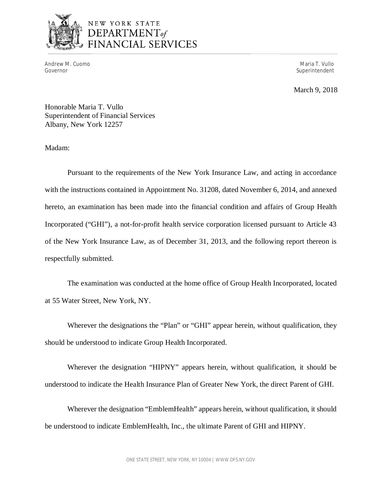

# NEW YORK STATE DEPARTMENT<sub>of</sub><br>FINANCIAL SERVICES

Andrew M. Cuomo Governor

Maria T. Vullo Superintendent

March 9, 2018

 Honorable Maria T. Vullo Superintendent of Financial Services Albany, New York 12257

Madam:

 Pursuant to the requirements of the New York Insurance Law, and acting in accordance with the instructions contained in Appointment No. 31208, dated November 6, 2014, and annexed hereto, an examination has been made into the financial condition and affairs of Group Health Incorporated ("GHI"), a not-for-profit health service corporation licensed pursuant to Article 43 of the New York Insurance Law, as of December 31, 2013, and the following report thereon is respectfully submitted.

 at 55 Water Street, New York, NY. The examination was conducted at the home office of Group Health Incorporated, located

 Wherever the designations the "Plan" or "GHI" appear herein, without qualification, they should be understood to indicate Group Health Incorporated.

 Wherever the designation "HIPNY" appears herein, without qualification, it should be understood to indicate the Health Insurance Plan of Greater New York, the direct Parent of GHI.

 Wherever the designation "EmblemHealth" appears herein, without qualification, it should be understood to indicate EmblemHealth, Inc., the ultimate Parent of GHI and HIPNY.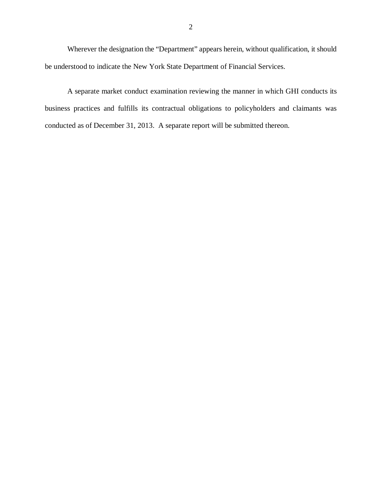Wherever the designation the "Department" appears herein, without qualification, it should be understood to indicate the New York State Department of Financial Services.

 business practices and fulfills its contractual obligations to policyholders and claimants was conducted as of December 31, 2013. A separate report will be submitted thereon. A separate market conduct examination reviewing the manner in which GHI conducts its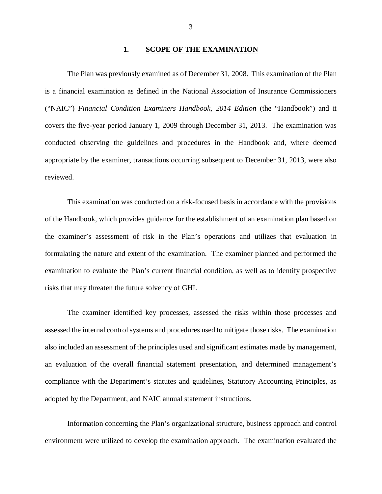#### **1. SCOPE OF THE EXAMINATION**

 is a financial examination as defined in the National Association of Insurance Commissioners ("NAIC") *Financial Condition Examiners Handbook, 2014 Edition* (the "Handbook") and it covers the five-year period January 1, 2009 through December 31, 2013. The examination was conducted observing the guidelines and procedures in the Handbook and, where deemed appropriate by the examiner, transactions occurring subsequent to December 31, 2013, were also The Plan was previously examined as of December 31, 2008. This examination of the Plan reviewed.

 of the Handbook, which provides guidance for the establishment of an examination plan based on the examiner's assessment of risk in the Plan's operations and utilizes that evaluation in formulating the nature and extent of the examination. The examiner planned and performed the examination to evaluate the Plan's current financial condition, as well as to identify prospective risks that may threaten the future solvency of GHI. This examination was conducted on a risk-focused basis in accordance with the provisions

 assessed the internal control systems and procedures used to mitigate those risks. The examination also included an assessment of the principles used and significant estimates made by management, an evaluation of the overall financial statement presentation, and determined management's compliance with the Department's statutes and guidelines, Statutory Accounting Principles, as adopted by the Department, and NAIC annual statement instructions. The examiner identified key processes, assessed the risks within those processes and

 Information concerning the Plan's organizational structure, business approach and control environment were utilized to develop the examination approach. The examination evaluated the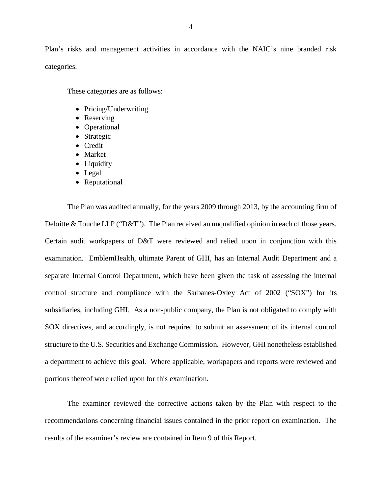Plan's risks and management activities in accordance with the NAIC's nine branded risk categories.

These categories are as follows:

- Pricing/Underwriting
- Reserving
- Operational
- Strategic
- Credit
- Market
- Liquidity
- Legal
- Reputational

 The Plan was audited annually, for the years 2009 through 2013, by the accounting firm of Deloitte & Touche LLP ("D&T"). The Plan received an unqualified opinion in each of those years. Certain audit workpapers of D&T were reviewed and relied upon in conjunction with this examination. EmblemHealth, ultimate Parent of GHI, has an Internal Audit Department and a separate Internal Control Department, which have been given the task of assessing the internal control structure and compliance with the Sarbanes-Oxley Act of 2002 ("SOX") for its subsidiaries, including GHI. As a non-public company, the Plan is not obligated to comply with SOX directives, and accordingly, is not required to submit an assessment of its internal control structure to the U.S. Securities and Exchange Commission. However, GHI nonetheless established a department to achieve this goal. Where applicable, workpapers and reports were reviewed and portions thereof were relied upon for this examination.

 recommendations concerning financial issues contained in the prior report on examination. The results of the examiner's review are contained in Item 9 of this Report. The examiner reviewed the corrective actions taken by the Plan with respect to the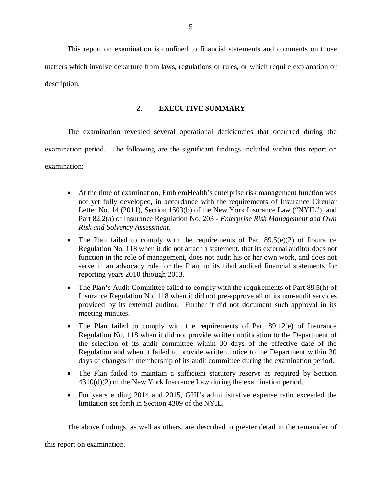matters which involve departure from laws, regulations or rules, or which require explanation or This report on examination is confined to financial statements and comments on those description.

### **2. EXECUTIVE SUMMARY**

 The examination revealed several operational deficiencies that occurred during the examination period. The following are the significant findings included within this report on examination:

- At the time of examination, EmblemHealth's enterprise risk management function was not yet fully developed, in accordance with the requirements of Insurance Circular Letter No. 14 (2011), Section 1503(b) of the New York Insurance Law ("NYIL"), and Part 82.2(a) of Insurance Regulation No. 203 - *Enterprise Risk Management and Own Risk and Solvency Assessment*.
- The Plan failed to comply with the requirements of Part  $89.5(e)(2)$  of Insurance Regulation No. 118 when it did not attach a statement, that its external auditor does not function in the role of management, does not audit his or her own work, and does not serve in an advocacy role for the Plan, to its filed audited financial statements for reporting years 2010 through 2013.
- The Plan's Audit Committee failed to comply with the requirements of Part 89.5(h) of Insurance Regulation No. 118 when it did not pre-approve all of its non-audit services provided by its external auditor. Further it did not document such approval in its meeting minutes.
- The Plan failed to comply with the requirements of Part 89.12(e) of Insurance Regulation No. 118 when it did not provide written notification to the Department of the selection of its audit committee within 30 days of the effective date of the Regulation and when it failed to provide written notice to the Department within 30 days of changes in membership of its audit committee during the examination period.
- The Plan failed to maintain a sufficient statutory reserve as required by Section 4310(d)(2) of the New York Insurance Law during the examination period.
- For years ending 2014 and 2015, GHI's administrative expense ratio exceeded the limitation set forth in Section 4309 of the NYIL.

The above findings, as well as others, are described in greater detail in the remainder of

this report on examination.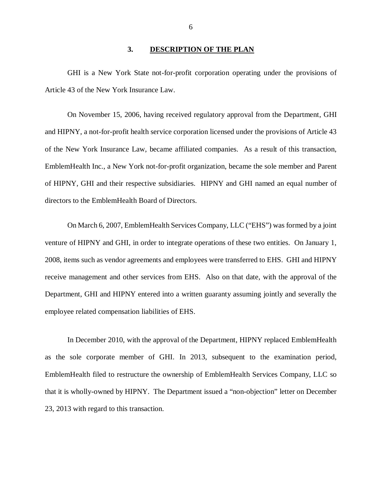#### **3. DESCRIPTION OF THE PLAN**

<span id="page-7-0"></span> GHI is a New York State not-for-profit corporation operating under the provisions of Article 43 of the New York Insurance Law.

 On November 15, 2006, having received regulatory approval from the Department, GHI and HIPNY, a not-for-profit health service corporation licensed under the provisions of Article 43 of the New York Insurance Law, became affiliated companies. As a result of this transaction, EmblemHealth Inc., a New York not-for-profit organization, became the sole member and Parent of HIPNY, GHI and their respective subsidiaries. HIPNY and GHI named an equal number of directors to the EmblemHealth Board of Directors.

 On March 6, 2007, EmblemHealth Services Company, LLC ("EHS") was formed by a joint venture of HIPNY and GHI, in order to integrate operations of these two entities. On January 1, 2008, items such as vendor agreements and employees were transferred to EHS. GHI and HIPNY receive management and other services from EHS. Also on that date, with the approval of the Department, GHI and HIPNY entered into a written guaranty assuming jointly and severally the employee related compensation liabilities of EHS.

 In December 2010, with the approval of the Department, HIPNY replaced EmblemHealth as the sole corporate member of GHI. In 2013, subsequent to the examination period, EmblemHealth filed to restructure the ownership of EmblemHealth Services Company, LLC so that it is wholly-owned by HIPNY. The Department issued a "non-objection" letter on December 23, 2013 with regard to this transaction.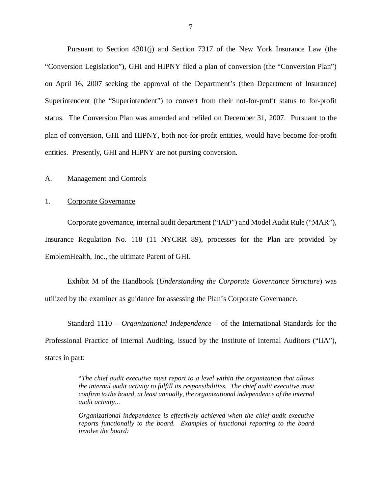<span id="page-8-0"></span> Pursuant to Section 4301(j) and Section 7317 of the New York Insurance Law (the "Conversion Legislation"), GHI and HIPNY filed a plan of conversion (the "Conversion Plan") on April 16, 2007 seeking the approval of the Department's (then Department of Insurance) Superintendent (the "Superintendent") to convert from their not-for-profit status to for-profit status. The Conversion Plan was amended and refiled on December 31, 2007. Pursuant to the plan of conversion, GHI and HIPNY, both not-for-profit entities, would have become for-profit entities. Presently, GHI and HIPNY are not pursing conversion.

#### A. Management and Controls

#### 1. Corporate Governance

 Corporate governance, internal audit department ("IAD") and Model Audit Rule ("MAR"), Insurance Regulation No. 118 (11 NYCRR 89), processes for the Plan are provided by EmblemHealth, Inc., the ultimate Parent of GHI.

 Exhibit M of the Handbook (*Understanding the Corporate Governance Structure*) was utilized by the examiner as guidance for assessing the Plan's Corporate Governance.

 Standard 1110 – *Organizational Independence* – of the International Standards for the Professional Practice of Internal Auditing, issued by the Institute of Internal Auditors ("IIA"), states in part:

> "*The chief audit executive must report to a level within the organization that allows the internal audit activity to fulfill its responsibilities. The chief audit executive must confirm to the board, at least annually, the organizational independence of the internal audit activity…*

> *Organizational independence is effectively achieved when the chief audit executive reports functionally to the board. Examples of functional reporting to the board involve the board:*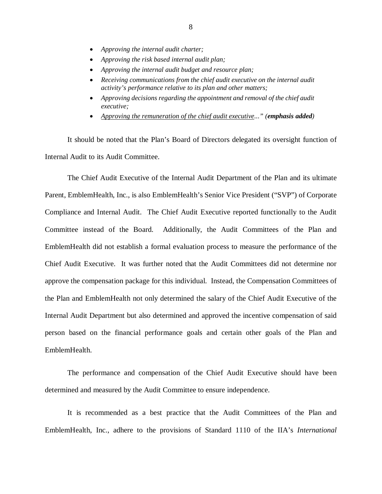- *Approving the internal audit charter;*
- *Approving the risk based internal audit plan;*
- *Approving the internal audit budget and resource plan;*
- Receiving communications from the chief audit executive on the internal audit  *activity's performance relative to its plan and other matters;*
- *Approving decisions regarding the appointment and removal of the chief audit executive;*
- *Approving the remuneration of the chief audit executive..." (emphasis added)*

 It should be noted that the Plan's Board of Directors delegated its oversight function of Internal Audit to its Audit Committee.

 The Chief Audit Executive of the Internal Audit Department of the Plan and its ultimate Parent, EmblemHealth, Inc., is also EmblemHealth's Senior Vice President ("SVP") of Corporate Compliance and Internal Audit. The Chief Audit Executive reported functionally to the Audit Committee instead of the Board. EmblemHealth did not establish a formal evaluation process to measure the performance of the Chief Audit Executive. It was further noted that the Audit Committees did not determine nor approve the compensation package for this individual. Instead, the Compensation Committees of the Plan and EmblemHealth not only determined the salary of the Chief Audit Executive of the Internal Audit Department but also determined and approved the incentive compensation of said person based on the financial performance goals and certain other goals of the Plan and EmblemHealth Additionally, the Audit Committees of the Plan and

 EmblemHealth. The performance and compensation of the Chief Audit Executive should have been determined and measured by the Audit Committee to ensure independence.

 It is recommended as a best practice that the Audit Committees of the Plan and EmblemHealth, Inc., adhere to the provisions of Standard 1110 of the IIA's *International*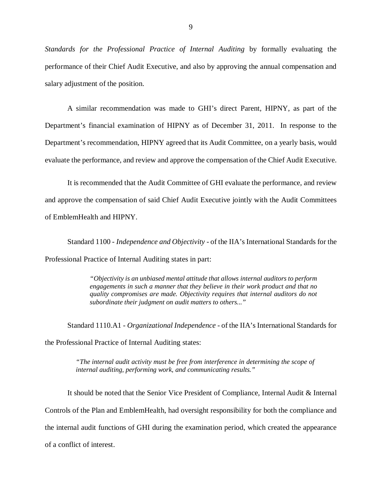*Standards for the Professional Practice of Internal Auditing* by formally evaluating the performance of their Chief Audit Executive, and also by approving the annual compensation and salary adjustment of the position.

 A similar recommendation was made to GHI's direct Parent, HIPNY, as part of the Department's financial examination of HIPNY as of December 31, 2011. In response to the Department's recommendation, HIPNY agreed that its Audit Committee, on a yearly basis, would evaluate the performance, and review and approve the compensation of the Chief Audit Executive.

 It is recommended that the Audit Committee of GHI evaluate the performance, and review and approve the compensation of said Chief Audit Executive jointly with the Audit Committees of EmblemHealth and HIPNY.

of EmblemHealth and HIPNY.<br>Standard 1100 - *Independence and Objectivity* - of the IIA's International Standards for the Professional Practice of Internal Auditing states in part:

> *"Objectivity is an unbiased mental attitude that allows internal auditors to perform engagements in such a manner that they believe in their work product and that no quality compromises are made. Objectivity requires that internal auditors do not subordinate their judgment on audit matters to others..."*

 Standard 1110.A1 - *Organizational Independence* - of the IIA's International Standards for the Professional Practice of Internal Auditing states:

> *"The internal audit activity must be free from interference in determining the scope of internal auditing, performing work, and communicating results."*

 It should be noted that the Senior Vice President of Compliance, Internal Audit & Internal Controls of the Plan and EmblemHealth, had oversight responsibility for both the compliance and the internal audit functions of GHI during the examination period, which created the appearance of a conflict of interest.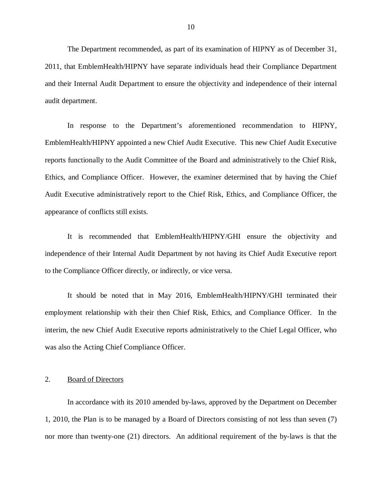<span id="page-11-0"></span> The Department recommended, as part of its examination of HIPNY as of December 31, 2011, that EmblemHealth/HIPNY have separate individuals head their Compliance Department and their Internal Audit Department to ensure the objectivity and independence of their internal audit department.

 In response to the Department's aforementioned recommendation to HIPNY, EmblemHealth/HIPNY appointed a new Chief Audit Executive. This new Chief Audit Executive reports functionally to the Audit Committee of the Board and administratively to the Chief Risk, Ethics, and Compliance Officer. However, the examiner determined that by having the Chief Audit Executive administratively report to the Chief Risk, Ethics, and Compliance Officer, the appearance of conflicts still exists.

 It is recommended that EmblemHealth/HIPNY/GHI ensure the objectivity and independence of their Internal Audit Department by not having its Chief Audit Executive report to the Compliance Officer directly, or indirectly, or vice versa.

 It should be noted that in May 2016, EmblemHealth/HIPNY/GHI terminated their employment relationship with their then Chief Risk, Ethics, and Compliance Officer. In the interim, the new Chief Audit Executive reports administratively to the Chief Legal Officer, who was also the Acting Chief Compliance Officer.

#### 2. Board of Directors

 In accordance with its 2010 amended by-laws, approved by the Department on December 1, 2010, the Plan is to be managed by a Board of Directors consisting of not less than seven (7) nor more than twenty-one (21) directors. An additional requirement of the by-laws is that the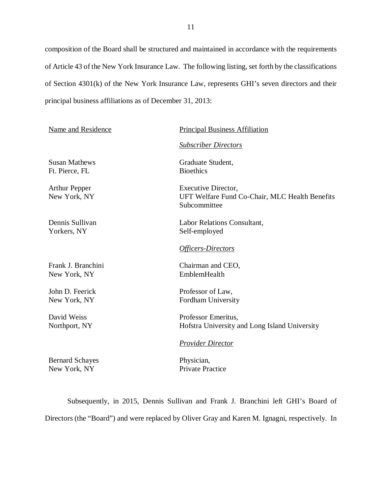composition of the Board shall be structured and maintained in accordance with the requirements of Article 43 of the New York Insurance Law. The following listing, set forth by the classifications of Section 4301(k) of the New York Insurance Law, represents GHI's seven directors and their principal business affiliations as of December 31, 2013:

| <b>Name and Residence</b>              | <b>Principal Business Affiliation</b>                                                        |
|----------------------------------------|----------------------------------------------------------------------------------------------|
|                                        | <b>Subscriber Directors</b>                                                                  |
| <b>Susan Mathews</b><br>Ft. Pierce, FL | Graduate Student,<br><b>Bioethics</b>                                                        |
| <b>Arthur Pepper</b><br>New York, NY   | <b>Executive Director,</b><br>UFT Welfare Fund Co-Chair, MLC Health Benefits<br>Subcommittee |
| Dennis Sullivan<br>Yorkers, NY         | Labor Relations Consultant,<br>Self-employed                                                 |
|                                        | <b>Officers-Directors</b>                                                                    |
| Frank J. Branchini<br>New York, NY     | Chairman and CEO,<br>EmblemHealth                                                            |
| John D. Feerick                        | Professor of Law,                                                                            |
| New York, NY                           | Fordham University                                                                           |
| David Weiss<br>Northport, NY           | Professor Emeritus,<br>Hofstra University and Long Island University                         |
|                                        | <b>Provider Director</b>                                                                     |

New York, NY Private Practice Bernard Schayes<br>
New York, NY<br>
Physician,<br>
Physician,<br>
Physician,<br>
Physician,

 Subsequently, in 2015, Dennis Sullivan and Frank J. Branchini left GHI's Board of Directors (the "Board") and were replaced by Oliver Gray and Karen M. Ignagni, respectively. In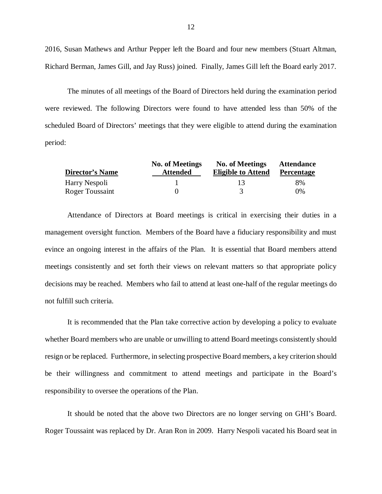2016, Susan Mathews and Arthur Pepper left the Board and four new members (Stuart Altman, Richard Berman, James Gill, and Jay Russ) joined. Finally, James Gill left the Board early 2017.

 The minutes of all meetings of the Board of Directors held during the examination period were reviewed. The following Directors were found to have attended less than 50% of the scheduled Board of Directors' meetings that they were eligible to attend during the examination period:

|                        | <b>No. of Meetings</b> | <b>No. of Meetings</b>    | <b>Attendance</b> |
|------------------------|------------------------|---------------------------|-------------------|
| <b>Director's Name</b> | <b>Attended</b>        | <b>Eligible to Attend</b> | <b>Percentage</b> |
| Harry Nespoli          |                        | 13                        | 8%                |
| Roger Toussaint        |                        |                           | 0%                |

 Attendance of Directors at Board meetings is critical in exercising their duties in a management oversight function. Members of the Board have a fiduciary responsibility and must evince an ongoing interest in the affairs of the Plan. It is essential that Board members attend meetings consistently and set forth their views on relevant matters so that appropriate policy decisions may be reached. Members who fail to attend at least one-half of the regular meetings do not fulfill such criteria.

 It is recommended that the Plan take corrective action by developing a policy to evaluate whether Board members who are unable or unwilling to attend Board meetings consistently should resign or be replaced. Furthermore, in selecting prospective Board members, a key criterion should be their willingness and commitment to attend meetings and participate in the Board's responsibility to oversee the operations of the Plan.

 It should be noted that the above two Directors are no longer serving on GHI's Board. Roger Toussaint was replaced by Dr. Aran Ron in 2009. Harry Nespoli vacated his Board seat in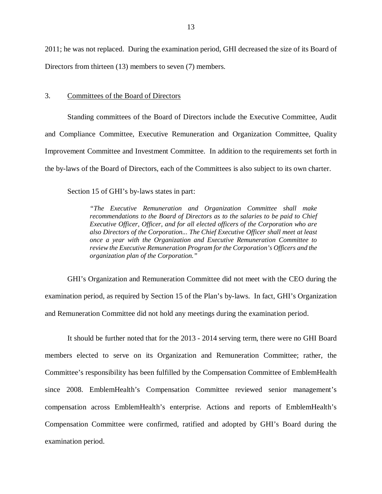<span id="page-14-0"></span> 2011; he was not replaced. During the examination period, GHI decreased the size of its Board of Directors from thirteen (13) members to seven (7) members.

#### 3. Committees of the Board of Directors

 Standing committees of the Board of Directors include the Executive Committee, Audit and Compliance Committee, Executive Remuneration and Organization Committee, Quality Improvement Committee and Investment Committee. In addition to the requirements set forth in the by-laws of the Board of Directors, each of the Committees is also subject to its own charter.

Section 15 of GHI's by-laws states in part:

 *"The Executive Remuneration and Organization Committee shall make*  recommendations to the Board of Directors as to the salaries to be paid to Chief  *Executive Officer, Officer, and for all elected officers of the Corporation who are also Directors of the Corporation... The Chief Executive Officer shall meet at least once a year with the Organization and Executive Remuneration Committee to review the Executive Remuneration Program for the Corporation's Officers and the organization plan of the Corporation."* 

 GHI's Organization and Remuneration Committee did not meet with the CEO during the examination period, as required by Section 15 of the Plan's by-laws. In fact, GHI's Organization and Remuneration Committee did not hold any meetings during the examination period.

 It should be further noted that for the 2013 - 2014 serving term, there were no GHI Board members elected to serve on its Organization and Remuneration Committee; rather, the Committee's responsibility has been fulfilled by the Compensation Committee of EmblemHealth since 2008. EmblemHealth's Compensation Committee reviewed senior management's compensation across EmblemHealth's enterprise. Actions and reports of EmblemHealth's Compensation Committee were confirmed, ratified and adopted by GHI's Board during the examination period.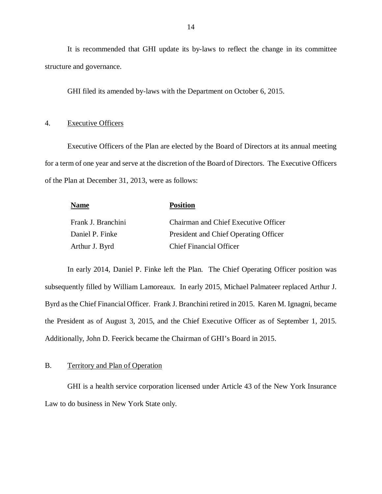It is recommended that GHI update its by-laws to reflect the change in its committee structure and governance.

GHI filed its amended by-laws with the Department on October 6, 2015.

#### 4. Executive Officers

 Executive Officers of the Plan are elected by the Board of Directors at its annual meeting for a term of one year and serve at the discretion of the Board of Directors. The Executive Officers of the Plan at December 31, 2013, were as follows:

| <b>Name</b>        | <b>Position</b>                             |
|--------------------|---------------------------------------------|
| Frank J. Branchini | <b>Chairman and Chief Executive Officer</b> |
| Daniel P. Finke    | President and Chief Operating Officer       |
| Arthur J. Byrd     | <b>Chief Financial Officer</b>              |

 In early 2014, Daniel P. Finke left the Plan. The Chief Operating Officer position was subsequently filled by William Lamoreaux. In early 2015, Michael Palmateer replaced Arthur J. Byrd as the Chief Financial Officer. Frank J. Branchini retired in 2015. Karen M. Ignagni, became the President as of August 3, 2015, and the Chief Executive Officer as of September 1, 2015. Additionally, John D. Feerick became the Chairman of GHI's Board in 2015.

#### B. Territory and Plan of Operation

 GHI is a health service corporation licensed under Article 43 of the New York Insurance Law to do business in New York State only.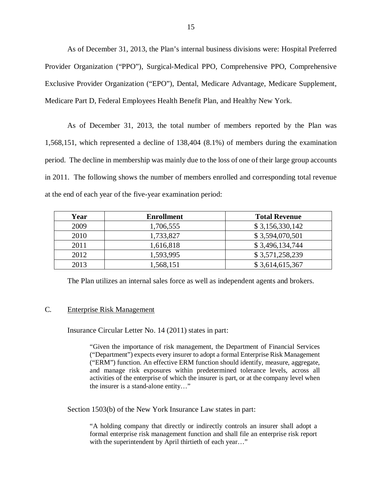As of December 31, 2013, the Plan's internal business divisions were: Hospital Preferred Provider Organization ("PPO"), Surgical-Medical PPO, Comprehensive PPO, Comprehensive Exclusive Provider Organization ("EPO"), Dental, Medicare Advantage, Medicare Supplement, Medicare Part D, Federal Employees Health Benefit Plan, and Healthy New York.

 As of December 31, 2013, the total number of members reported by the Plan was 1,568,151, which represented a decline of 138,404 (8.1%) of members during the examination period. The decline in membership was mainly due to the loss of one of their large group accounts in 2011. The following shows the number of members enrolled and corresponding total revenue at the end of each year of the five-year examination period:

| Year | <b>Enrollment</b> | <b>Total Revenue</b> |
|------|-------------------|----------------------|
| 2009 | 1,706,555         | \$3,156,330,142      |
| 2010 | 1,733,827         | \$3,594,070,501      |
| 2011 | 1,616,818         | \$3,496,134,744      |
| 2012 | 1,593,995         | \$3,571,258,239      |
| 2013 | 1,568,151         | \$3,614,615,367      |

The Plan utilizes an internal sales force as well as independent agents and brokers.

#### C*.* Enterprise Risk Management

Insurance Circular Letter No. 14 (2011) states in part:

 "Given the importance of risk management, the Department of Financial Services ("Department") expects every insurer to adopt a formal Enterprise Risk Management ("ERM") function. An effective ERM function should identify, measure, aggregate, and manage risk exposures within predetermined tolerance levels, across all activities of the enterprise of which the insurer is part, or at the company level when the insurer is a stand-alone entity…"

Section 1503(b) of the New York Insurance Law states in part:

 "A holding company that directly or indirectly controls an insurer shall adopt a formal enterprise risk management function and shall file an enterprise risk report with the superintendent by April thirtieth of each year…"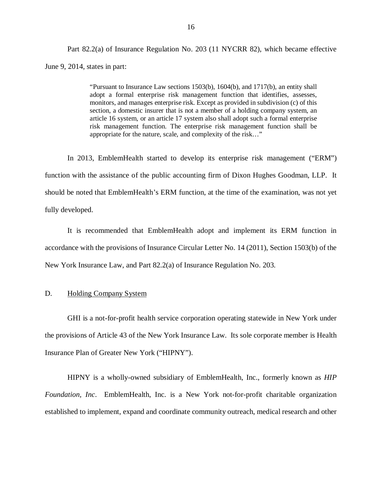<span id="page-17-0"></span> Part 82.2(a) of Insurance Regulation No. 203 (11 NYCRR 82), which became effective June 9, 2014, states in part:

> "Pursuant to Insurance Law sections 1503(b), 1604(b), and 1717(b), an entity shall adopt a formal enterprise risk management function that identifies, assesses, monitors, and manages enterprise risk. Except as provided in subdivision (c) of this section, a domestic insurer that is not a member of a holding company system, an article 16 system, or an article 17 system also shall adopt such a formal enterprise risk management function. The enterprise risk management function shall be appropriate for the nature, scale, and complexity of the risk…"

 In 2013, EmblemHealth started to develop its enterprise risk management ("ERM") function with the assistance of the public accounting firm of Dixon Hughes Goodman, LLP. It should be noted that EmblemHealth's ERM function, at the time of the examination, was not yet fully developed.

 It is recommended that EmblemHealth adopt and implement its ERM function in accordance with the provisions of Insurance Circular Letter No. 14 (2011), Section 1503(b) of the New York Insurance Law, and Part 82.2(a) of Insurance Regulation No. 203.

#### D. Holding Company System

 GHI is a not-for-profit health service corporation operating statewide in New York under the provisions of Article 43 of the New York Insurance Law. Its sole corporate member is Health Insurance Plan of Greater New York ("HIPNY").

 HIPNY is a wholly-owned subsidiary of EmblemHealth, Inc., formerly known as *HIP Foundation, Inc*. EmblemHealth, Inc. is a New York not-for-profit charitable organization established to implement, expand and coordinate community outreach, medical research and other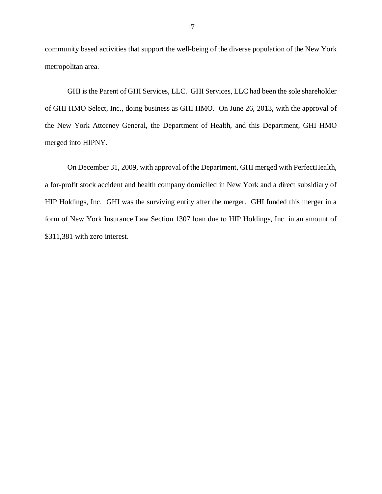community based activities that support the well-being of the diverse population of the New York metropolitan area.

 GHI is the Parent of GHI Services, LLC. GHI Services, LLC had been the sole shareholder of GHI HMO Select, Inc., doing business as GHI HMO. On June 26, 2013, with the approval of the New York Attorney General, the Department of Health, and this Department, GHI HMO merged into HIPNY.

 On December 31, 2009, with approval of the Department, GHI merged with PerfectHealth, a for-profit stock accident and health company domiciled in New York and a direct subsidiary of HIP Holdings, Inc. GHI was the surviving entity after the merger. GHI funded this merger in a form of New York Insurance Law Section 1307 loan due to HIP Holdings, Inc. in an amount of \$311,381 with zero interest.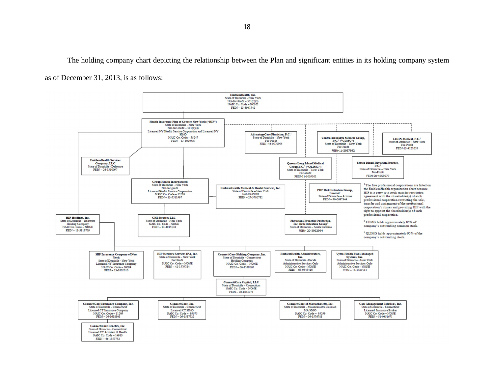The holding company chart depicting the relationship between the Plan and significant entities in its holding company system as of December 31, 2013, is as follows:

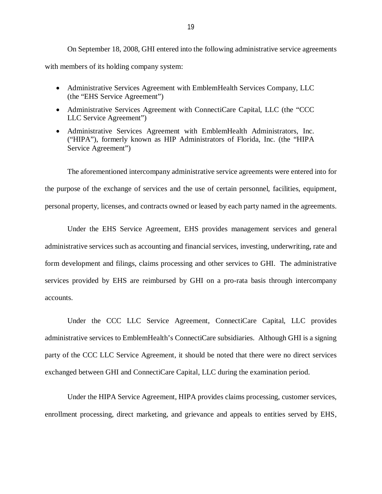with members of its holding company system: On September 18, 2008, GHI entered into the following administrative service agreements

- Administrative Services Agreement with EmblemHealth Services Company, LLC (the "EHS Service Agreement")
- Administrative Services Agreement with ConnectiCare Capital, LLC (the "CCC LLC Service Agreement")
- Administrative Services Agreement with EmblemHealth Administrators, Inc. ("HIPA"), formerly known as HIP Administrators of Florida, Inc. (the "HIPA Service Agreement")

 the purpose of the exchange of services and the use of certain personnel, facilities, equipment, personal property, licenses, and contracts owned or leased by each party named in the agreements. The aforementioned intercompany administrative service agreements were entered into for

 Under the EHS Service Agreement, EHS provides management services and general administrative services such as accounting and financial services, investing, underwriting, rate and form development and filings, claims processing and other services to GHI. The administrative services provided by EHS are reimbursed by GHI on a pro-rata basis through intercompany accounts. accounts.<br>
Under the CCC LLC Service Agreement, ConnectiCare Capital, LLC provides

 administrative services to EmblemHealth's ConnectiCare subsidiaries. Although GHI is a signing party of the CCC LLC Service Agreement, it should be noted that there were no direct services exchanged between GHI and ConnectiCare Capital, LLC during the examination period.

 Under the HIPA Service Agreement, HIPA provides claims processing, customer services, enrollment processing, direct marketing, and grievance and appeals to entities served by EHS,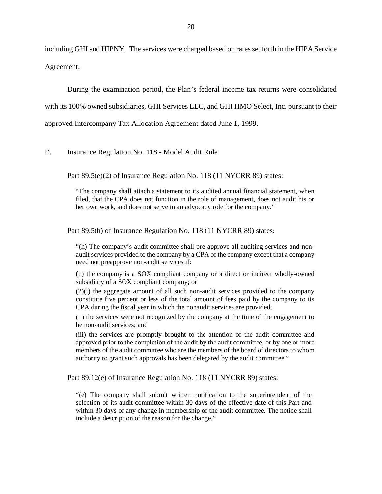<span id="page-21-0"></span> including GHI and HIPNY. The services were charged based on rates set forth in the HIPA Service Agreement.

 During the examination period, the Plan's federal income tax returns were consolidated with its 100% owned subsidiaries, GHI Services LLC, and GHI HMO Select, Inc. pursuant to their approved Intercompany Tax Allocation Agreement dated June 1, 1999.

#### E. **Insurance Regulation No. 118 - Model Audit Rule**

Part 89.5(e)(2) of Insurance Regulation No. 118 (11 NYCRR 89) states:

 "The company shall attach a statement to its audited annual financial statement, when filed, that the CPA does not function in the role of management, does not audit his or her own work, and does not serve in an advocacy role for the company."

Part 89.5(h) of Insurance Regulation No. 118 (11 NYCRR 89) states:

 "(h) The company's audit committee shall pre-approve all auditing services and non- audit services provided to the company by a CPA of the company except that a company need not preapprove non-audit services if:

 (1) the company is a SOX compliant company or a direct or indirect wholly-owned subsidiary of a SOX compliant company; or

 (2)(i) the aggregate amount of all such non-audit services provided to the company constitute five percent or less of the total amount of fees paid by the company to its CPA during the fiscal year in which the nonaudit services are provided;

 (ii) the services were not recognized by the company at the time of the engagement to be non-audit services; and

 (iii) the services are promptly brought to the attention of the audit committee and approved prior to the completion of the audit by the audit committee, or by one or more members of the audit committee who are the members of the board of directors to whom authority to grant such approvals has been delegated by the audit committee."

Part 89.12(e) of Insurance Regulation No. 118 (11 NYCRR 89) states:

 "(e) The company shall submit written notification to the superintendent of the selection of its audit committee within 30 days of the effective date of this Part and within 30 days of any change in membership of the audit committee. The notice shall include a description of the reason for the change."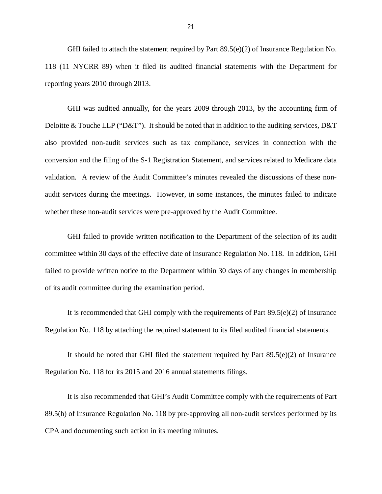118 (11 NYCRR 89) when it filed its audited financial statements with the Department for reporting years 2010 through 2013. GHI failed to attach the statement required by Part 89.5(e)(2) of Insurance Regulation No.

 GHI was audited annually, for the years 2009 through 2013, by the accounting firm of Deloitte & Touche LLP ("D&T"). It should be noted that in addition to the auditing services, D&T also provided non-audit services such as tax compliance, services in connection with the conversion and the filing of the S-1 Registration Statement, and services related to Medicare data validation. A review of the Audit Committee's minutes revealed the discussions of these non- audit services during the meetings. However, in some instances, the minutes failed to indicate whether these non-audit services were pre-approved by the Audit Committee.

 GHI failed to provide written notification to the Department of the selection of its audit committee within 30 days of the effective date of Insurance Regulation No. 118. In addition, GHI failed to provide written notice to the Department within 30 days of any changes in membership of its audit committee during the examination period.

 It is recommended that GHI comply with the requirements of Part 89.5(e)(2) of Insurance Regulation No. 118 by attaching the required statement to its filed audited financial statements.

 It should be noted that GHI filed the statement required by Part 89.5(e)(2) of Insurance Regulation No. 118 for its 2015 and 2016 annual statements filings.

 It is also recommended that GHI's Audit Committee comply with the requirements of Part 89.5(h) of Insurance Regulation No. 118 by pre-approving all non-audit services performed by its CPA and documenting such action in its meeting minutes.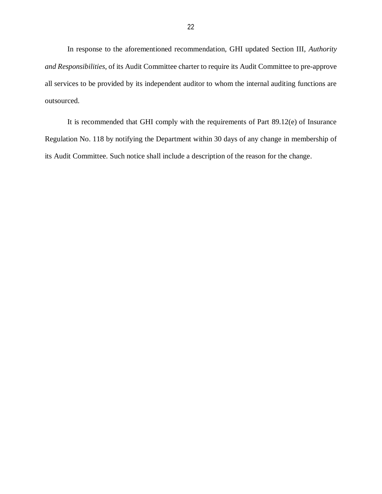In response to the aforementioned recommendation, GHI updated Section III, *Authority and Responsibilities*, of its Audit Committee charter to require its Audit Committee to pre-approve all services to be provided by its independent auditor to whom the internal auditing functions are outsourced. outsourced.<br>It is recommended that GHI comply with the requirements of Part 89.12(e) of Insurance

 Regulation No. 118 by notifying the Department within 30 days of any change in membership of its Audit Committee. Such notice shall include a description of the reason for the change.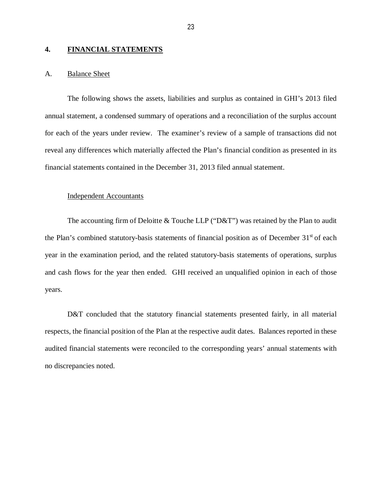#### <span id="page-24-0"></span>**4. FINANCIAL STATEMENTS**

#### A. **Balance Sheet**

 The following shows the assets, liabilities and surplus as contained in GHI's 2013 filed annual statement, a condensed summary of operations and a reconciliation of the surplus account for each of the years under review. The examiner's review of a sample of transactions did not reveal any differences which materially affected the Plan's financial condition as presented in its financial statements contained in the December 31, 2013 filed annual statement.

#### Independent Accountants

The accounting firm of Deloitte & Touche LLP ("D&T") was retained by the Plan to audit the Plan's combined statutory-basis statements of financial position as of December 31<sup>st</sup> of each year in the examination period, and the related statutory-basis statements of operations, surplus and cash flows for the year then ended. GHI received an unqualified opinion in each of those years.

D&T concluded that the statutory financial statements presented fairly, in all material respects, the financial position of the Plan at the respective audit dates. Balances reported in these audited financial statements were reconciled to the corresponding years' annual statements with no discrepancies noted.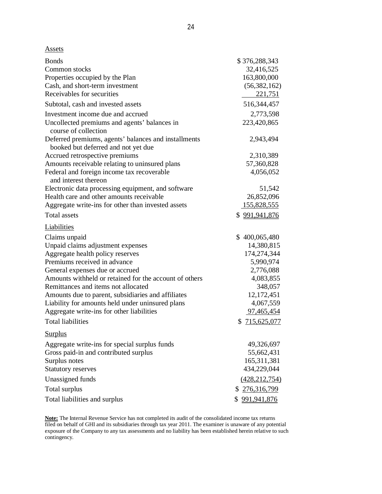|--|

| <b>Bonds</b><br>Common stocks<br>Properties occupied by the Plan<br>Cash, and short-term investment<br>Receivables for securities | \$376,288,343<br>32,416,525<br>163,800,000<br>(56, 382, 162)<br>221,751 |
|-----------------------------------------------------------------------------------------------------------------------------------|-------------------------------------------------------------------------|
| Subtotal, cash and invested assets                                                                                                | 516,344,457                                                             |
| Investment income due and accrued                                                                                                 | 2,773,598                                                               |
| Uncollected premiums and agents' balances in<br>course of collection                                                              | 223,420,865                                                             |
| Deferred premiums, agents' balances and installments<br>booked but deferred and not yet due                                       | 2,943,494                                                               |
| Accrued retrospective premiums                                                                                                    | 2,310,389                                                               |
| Amounts receivable relating to uninsured plans                                                                                    | 57,360,828                                                              |
| Federal and foreign income tax recoverable<br>and interest thereon                                                                | 4,056,052                                                               |
| Electronic data processing equipment, and software                                                                                | 51,542                                                                  |
| Health care and other amounts receivable                                                                                          | 26,852,096                                                              |
| Aggregate write-ins for other than invested assets                                                                                | <u>155,828,555</u>                                                      |
| <b>Total</b> assets                                                                                                               | \$991,941,876                                                           |
| Liabilities                                                                                                                       |                                                                         |
| Claims unpaid                                                                                                                     | \$400,065,480                                                           |
| Unpaid claims adjustment expenses                                                                                                 | 14,380,815                                                              |
| Aggregate health policy reserves                                                                                                  | 174,274,344                                                             |
| Premiums received in advance                                                                                                      | 5,990,974                                                               |
| General expenses due or accrued                                                                                                   | 2,776,088                                                               |
| Amounts withheld or retained for the account of others                                                                            | 4,083,855                                                               |
| Remittances and items not allocated                                                                                               | 348,057                                                                 |
| Amounts due to parent, subsidiaries and affiliates                                                                                | 12,172,451                                                              |
| Liability for amounts held under uninsured plans                                                                                  | 4,067,559                                                               |
| Aggregate write-ins for other liabilities                                                                                         | 97,465,454                                                              |
| <b>Total liabilities</b>                                                                                                          | \$715,625,077                                                           |
| <b>Surplus</b>                                                                                                                    |                                                                         |
| Aggregate write-ins for special surplus funds                                                                                     | 49,326,697                                                              |
| Gross paid-in and contributed surplus                                                                                             | 55,662,431                                                              |
| Surplus notes                                                                                                                     | 165,311,381                                                             |
| <b>Statutory reserves</b>                                                                                                         | 434,229,044                                                             |
| Unassigned funds                                                                                                                  | (428, 212, 754)                                                         |
| Total surplus                                                                                                                     | \$276,316,799                                                           |
| Total liabilities and surplus                                                                                                     | \$991,941,876                                                           |

l, contingency. **Note:** The Internal Revenue Service has not completed its audit of the consolidated income tax returns filed on behalf of GHI and its subsidiaries through tax year 2011. The examiner is unaware of any potential exposure of the Company to any tax assessments and no liability has been established herein relative to such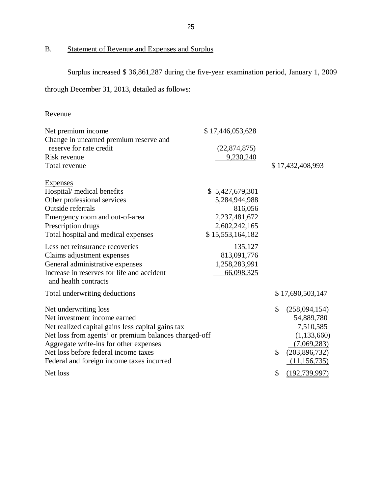### B. Statement of Revenue and Expenses and Surplus

Surplus increased \$ 36,861,287 during the five-year examination period, January 1, 2009

through December 31, 2013, detailed as follows:

# Revenue

| Net premium income                                                 | \$17,446,053,628 |                       |
|--------------------------------------------------------------------|------------------|-----------------------|
| Change in unearned premium reserve and                             |                  |                       |
| reserve for rate credit                                            | (22,874,875)     |                       |
| Risk revenue                                                       | 9,230,240        |                       |
| Total revenue                                                      |                  | \$17,432,408,993      |
| <b>Expenses</b>                                                    |                  |                       |
| Hospital/ medical benefits                                         | \$5,427,679,301  |                       |
| Other professional services                                        | 5,284,944,988    |                       |
| Outside referrals                                                  | 816,056          |                       |
| Emergency room and out-of-area                                     | 2,237,481,672    |                       |
| Prescription drugs                                                 | 2,602,242,165    |                       |
| Total hospital and medical expenses                                | \$15,553,164,182 |                       |
| Less net reinsurance recoveries                                    | 135,127          |                       |
| Claims adjustment expenses                                         | 813,091,776      |                       |
| General administrative expenses                                    | 1,258,283,991    |                       |
| Increase in reserves for life and accident<br>and health contracts | 66,098,325       |                       |
| Total underwriting deductions                                      |                  | \$17,690,503,147      |
| Net underwriting loss                                              |                  | \$<br>(258,094,154)   |
| Net investment income earned                                       |                  | 54,889,780            |
| Net realized capital gains less capital gains tax                  |                  | 7,510,585             |
| Net loss from agents' or premium balances charged-off              |                  | (1, 133, 660)         |
| Aggregate write-ins for other expenses                             |                  | (7,069,283)           |
| Net loss before federal income taxes                               |                  | \$<br>(203,896,732)   |
| Federal and foreign income taxes incurred                          |                  | (11, 156, 735)        |
| Net loss                                                           |                  | \$<br>(192, 739, 997) |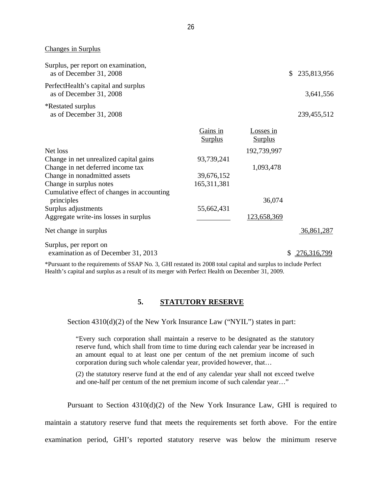Changes in Surplus

| Surplus, per report on examination,<br>as of December 31, 2008                                                                                                                                                                                                                                                    |                            |                             | \$<br>235,813,956 |
|-------------------------------------------------------------------------------------------------------------------------------------------------------------------------------------------------------------------------------------------------------------------------------------------------------------------|----------------------------|-----------------------------|-------------------|
| PerfectHealth's capital and surplus<br>as of December 31, 2008                                                                                                                                                                                                                                                    |                            |                             | 3,641,556         |
| <i><b>*Restated surplus</b></i><br>as of December 31, 2008                                                                                                                                                                                                                                                        |                            |                             | 239,455,512       |
|                                                                                                                                                                                                                                                                                                                   | Gains in<br><b>Surplus</b> | Losses in<br><b>Surplus</b> |                   |
| Net loss                                                                                                                                                                                                                                                                                                          |                            | 192,739,997                 |                   |
| Change in net unrealized capital gains                                                                                                                                                                                                                                                                            | 93,739,241                 |                             |                   |
| Change in net deferred income tax                                                                                                                                                                                                                                                                                 |                            | 1,093,478                   |                   |
| Change in nonadmitted assets                                                                                                                                                                                                                                                                                      | 39,676,152                 |                             |                   |
| Change in surplus notes                                                                                                                                                                                                                                                                                           | 165,311,381                |                             |                   |
| Cumulative effect of changes in accounting<br>principles                                                                                                                                                                                                                                                          |                            | 36,074                      |                   |
| Surplus adjustments                                                                                                                                                                                                                                                                                               | 55,662,431                 |                             |                   |
| Aggregate write-ins losses in surplus                                                                                                                                                                                                                                                                             |                            | 123,658,369                 |                   |
| Net change in surplus                                                                                                                                                                                                                                                                                             |                            |                             | 36,861,287        |
| Surplus, per report on<br>examination as of December 31, 2013                                                                                                                                                                                                                                                     |                            |                             | \$<br>276,316,799 |
| $\mathcal{L}$ and $\mathcal{L}$ and $\mathcal{L}$ and $\mathcal{L}$ and $\mathcal{L}$ and $\mathcal{L}$ and $\mathcal{L}$ and $\mathcal{L}$ and $\mathcal{L}$ and $\mathcal{L}$ and $\mathcal{L}$ and $\mathcal{L}$ and $\mathcal{L}$ and $\mathcal{L}$ and $\mathcal{L}$ and $\mathcal{L}$ and $\mathcal{L}$ and |                            |                             |                   |

 \*Pursuant to the requirements of SSAP No. 3, GHI restated its 2008 total capital and surplus to include Perfect Health's capital and surplus as a result of its merger with Perfect Health on December 31, 2009.

#### **5. STATUTORY RESERVE**

Section 4310(d)(2) of the New York Insurance Law ("NYIL") states in part:

 "Every such corporation shall maintain a reserve to be designated as the statutory reserve fund, which shall from time to time during each calendar year be increased in an amount equal to at least one per centum of the net premium income of such corporation during such whole calendar year, provided however, that…

 (2) the statutory reserve fund at the end of any calendar year shall not exceed twelve and one-half per centum of the net premium income of such calendar year…"

Pursuant to Section 4310(d)(2) of the New York Insurance Law, GHI is required to

maintain a statutory reserve fund that meets the requirements set forth above. For the entire

examination period, GHI's reported statutory reserve was below the minimum reserve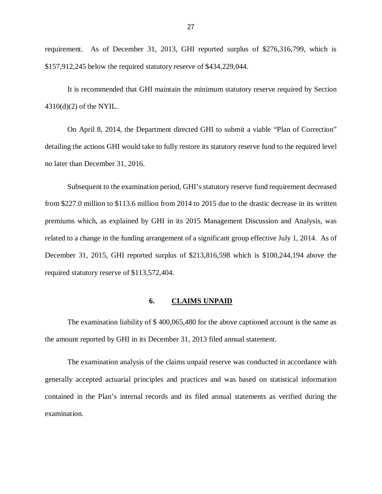<span id="page-28-0"></span> requirement. As of December 31, 2013, GHI reported surplus of \$276,316,799, which is \$157,912,245 below the required statutory reserve of \$434,229,044.

 It is recommended that GHI maintain the minimum statutory reserve required by Section 4310(d)(2) of the NYIL.

 On April 8, 2014, the Department directed GHI to submit a viable "Plan of Correction" detailing the actions GHI would take to fully restore its statutory reserve fund to the required level no later than December 31, 2016.

 Subsequent to the examination period, GHI's statutory reserve fund requirement decreased from \$227.0 million to \$113.6 million from 2014 to 2015 due to the drastic decrease in its written premiums which, as explained by GHI in its 2015 Management Discussion and Analysis, was related to a change in the funding arrangement of a significant group effective July 1, 2014. As of December 31, 2015, GHI reported surplus of \$213,816,598 which is \$100,244,194 above the required statutory reserve of \$113,572,404.

#### **6. CLAIMS UNPAID**

 The examination liability of \$ 400,065,480 for the above captioned account is the same as the amount reported by GHI in its December 31, 2013 filed annual statement.

 The examination analysis of the claims unpaid reserve was conducted in accordance with generally accepted actuarial principles and practices and was based on statistical information contained in the Plan's internal records and its filed annual statements as verified during the examination.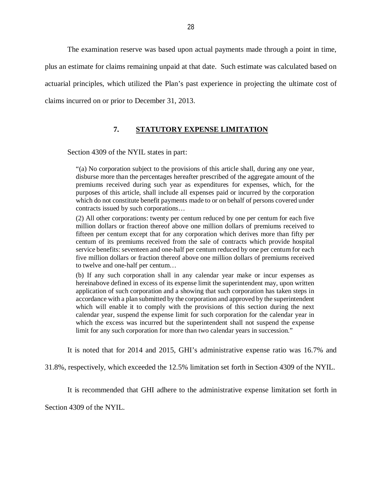<span id="page-29-0"></span> The examination reserve was based upon actual payments made through a point in time, plus an estimate for claims remaining unpaid at that date. Such estimate was calculated based on actuarial principles, which utilized the Plan's past experience in projecting the ultimate cost of claims incurred on or prior to December 31, 2013.

### **7. STATUTORY EXPENSE LIMITATION**

Section 4309 of the NYIL states in part:

 "(a) No corporation subject to the provisions of this article shall, during any one year, disburse more than the percentages hereafter prescribed of the aggregate amount of the premiums received during such year as expenditures for expenses, which, for the purposes of this article, shall include all expenses paid or incurred by the corporation which do not constitute benefit payments made to or on behalf of persons covered under contracts issued by such corporations…

 (2) All other corporations: twenty per centum reduced by one per centum for each five million dollars or fraction thereof above one million dollars of premiums received to fifteen per centum except that for any corporation which derives more than fifty per centum of its premiums received from the sale of contracts which provide hospital service benefits: seventeen and one-half per centum reduced by one per centum for each five million dollars or fraction thereof above one million dollars of premiums received to twelve and one-half per centum…

 (b) If any such corporation shall in any calendar year make or incur expenses as hereinabove defined in excess of its expense limit the superintendent may, upon written application of such corporation and a showing that such corporation has taken steps in accordance with a plan submitted by the corporation and approved by the superintendent which will enable it to comply with the provisions of this section during the next calendar year, suspend the expense limit for such corporation for the calendar year in which the excess was incurred but the superintendent shall not suspend the expense limit for any such corporation for more than two calendar years in succession."

It is noted that for 2014 and 2015, GHI's administrative expense ratio was 16.7% and

31.8%, respectively, which exceeded the 12.5% limitation set forth in Section 4309 of the NYIL.

It is recommended that GHI adhere to the administrative expense limitation set forth in

Section 4309 of the NYIL.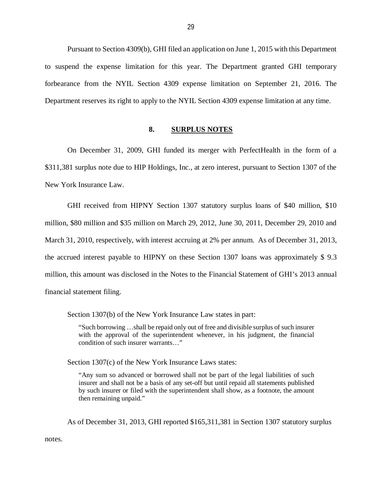<span id="page-30-0"></span> Pursuant to Section 4309(b), GHI filed an application on June 1, 2015 with this Department to suspend the expense limitation for this year. The Department granted GHI temporary forbearance from the NYIL Section 4309 expense limitation on September 21, 2016. The Department reserves its right to apply to the NYIL Section 4309 expense limitation at any time.

#### **8. SURPLUS NOTES**

 On December 31, 2009, GHI funded its merger with PerfectHealth in the form of a \$311,381 surplus note due to HIP Holdings, Inc., at zero interest, pursuant to Section 1307 of the New York Insurance Law.

 GHI received from HIPNY Section 1307 statutory surplus loans of \$40 million, \$10 million, \$80 million and \$35 million on March 29, 2012, June 30, 2011, December 29, 2010 and March 31, 2010, respectively, with interest accruing at 2% per annum. As of December 31, 2013, the accrued interest payable to HIPNY on these Section 1307 loans was approximately \$ 9.3 million, this amount was disclosed in the Notes to the Financial Statement of GHI's 2013 annual financial statement filing.

Section 1307(b) of the New York Insurance Law states in part:

 "Such borrowing …shall be repaid only out of free and divisible surplus of such insurer with the approval of the superintendent whenever, in his judgment, the financial condition of such insurer warrants…"

Section 1307(c) of the New York Insurance Laws states:

 "Any sum so advanced or borrowed shall not be part of the legal liabilities of such insurer and shall not be a basis of any set-off but until repaid all statements published by such insurer or filed with the superintendent shall show, as a footnote, the amount then remaining unpaid."

As of December 31, 2013, GHI reported \$165,311,381 in Section 1307 statutory surplus

notes.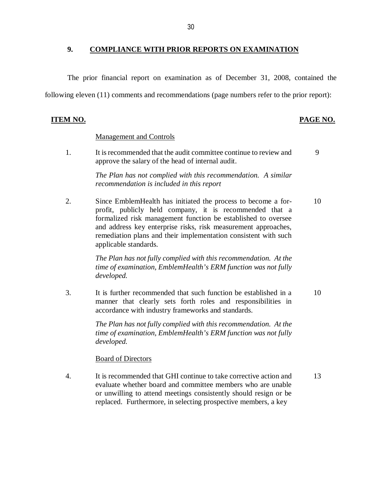#### <span id="page-31-0"></span> **9. COMPLIANCE WITH PRIOR REPORTS ON EXAMINATION**

The prior financial report on examination as of December 31, 2008, contained the

following eleven (11) comments and recommendations (page numbers refer to the prior report):

#### **ITEM NO.**

#### **PAGE NO.**

#### Management and Controls

1. approve the salary of the head of internal audit. It is recommended that the audit committee continue to review and  $\qquad 9$ 

> *The Plan has not complied with this recommendation. A similar recommendation is included in this report*

 2. Since EmblemHealth has initiated the process to become a for- 10 profit, publicly held company, it is recommended that a formalized risk management function be established to oversee and address key enterprise risks, risk measurement approaches, remediation plans and their implementation consistent with such applicable standards.

> *The Plan has not fully complied with this recommendation. At the time of examination, EmblemHealth's ERM function was not fully developed.*

 $\mathcal{E}$  manner that clearly sets forth roles and responsibilities in accordance with industry frameworks and standards. It is further recommended that such function be established in a  $10$ 

> *The Plan has not fully complied with this recommendation. At the time of examination, EmblemHealth's ERM function was not fully developed.*

#### **Board of Directors**

 $\overline{4}$ . evaluate whether board and committee members who are unable or unwilling to attend meetings consistently should resign or be replaced. Furthermore, in selecting prospective members, a key It is recommended that GHI continue to take corrective action and 13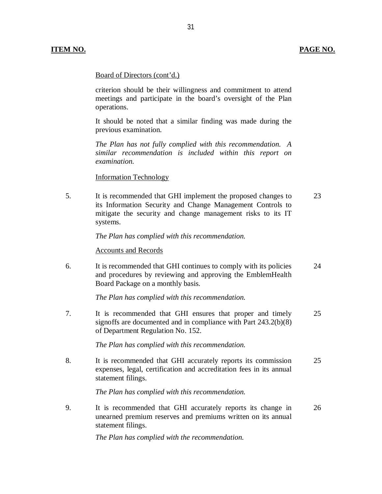#### PAGE NO.

### Board of Directors (cont'd.)

 criterion should be their willingness and commitment to attend meetings and participate in the board's oversight of the Plan operations.

 It should be noted that a similar finding was made during the previous examination.

 *The Plan has not fully complied with this recommendation. A similar recommendation is included within this report on examination.* 

#### Information Technology

 $5<sub>1</sub>$  its Information Security and Change Management Controls to mitigate the security and change management risks to its IT It is recommended that GHI implement the proposed changes to 23 systems.

 *The Plan has complied with this recommendation.* 

#### Accounts and Records

6. and procedures by reviewing and approving the EmblemHealth Board Package on a monthly basis. It is recommended that GHI continues to comply with its policies 24

 *The Plan has complied with this recommendation.* 

 $7<sub>1</sub>$  signoffs are documented and in compliance with Part 243.2(b)(8) of Department Regulation No. 152. It is recommended that GHI ensures that proper and timely 25

 *The Plan has complied with this recommendation.* 

8. expenses, legal, certification and accreditation fees in its annual statement filings. It is recommended that GHI accurately reports its commission 25

 *The Plan has complied with this recommendation.* 

9. unearned premium reserves and premiums written on its annual statement filings. It is recommended that GHI accurately reports its change in 26

 *The Plan has complied with the recommendation.*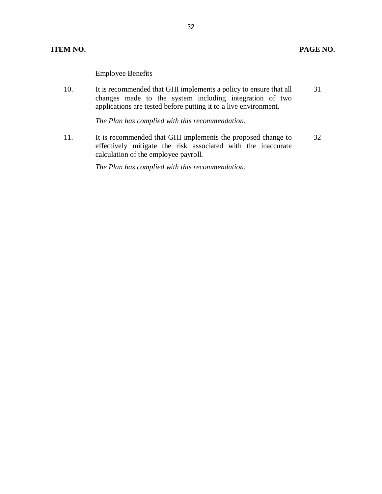#### **ITEM NO. PAGE NO.**

Employee Benefits

10. changes made to the system including integration of two applications are tested before putting it to a live environment. It is recommended that GHI implements a policy to ensure that all 31

 *The Plan has complied with this recommendation.* 

11. effectively mitigate the risk associated with the inaccurate calculation of the employee payroll. It is recommended that GHI implements the proposed change to 32

 *The Plan has complied with this recommendation.*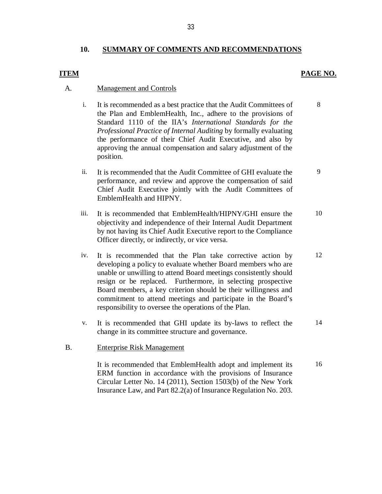#### **10. SUMMARY OF COMMENTS AND RECOMMENDATIONS**

#### *PAGE NO.* **PAGE NO.**

8

#### A. Management and Controls

- i. It is recommended as a best practice that the Audit Committees of the Plan and EmblemHealth, Inc., adhere to the provisions of Standard 1110 of the IIA's *International Standards for the Professional Practice of Internal Auditing* by formally evaluating the performance of their Chief Audit Executive, and also by approving the annual compensation and salary adjustment of the position.
- ii. It is recommended that the Audit Committee of GHI evaluate the 9 performance, and review and approve the compensation of said Chief Audit Executive jointly with the Audit Committees of EmblemHealth and HIPNY.
- iii. It is recommended that EmblemHealth/HIPNY/GHI ensure the objectivity and independence of their Internal Audit Department by not having its Chief Audit Executive report to the Compliance Officer directly, or indirectly, or vice versa. 10
- iv. It is recommended that the Plan take corrective action by developing a policy to evaluate whether Board members who are unable or unwilling to attend Board meetings consistently should resign or be replaced. Furthermore, in selecting prospective Board members, a key criterion should be their willingness and commitment to attend meetings and participate in the Board's responsibility to oversee the operations of the Plan. 12
- v. It is recommended that GHI update its by-laws to reflect the change in its committee structure and governance. 14

#### B. Enterprise Risk Management

 It is recommended that EmblemHealth adopt and implement its ERM function in accordance with the provisions of Insurance Circular Letter No. 14 (2011), Section 1503(b) of the New York Insurance Law, and Part 82.2(a) of Insurance Regulation No. 203. 16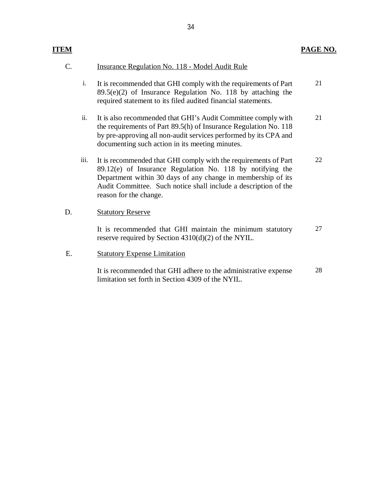| C. |      | <b>Insurance Regulation No. 118 - Model Audit Rule</b>                                                                                                                                                                                                                                    |    |
|----|------|-------------------------------------------------------------------------------------------------------------------------------------------------------------------------------------------------------------------------------------------------------------------------------------------|----|
|    | i.   | It is recommended that GHI comply with the requirements of Part<br>$89.5(e)(2)$ of Insurance Regulation No. 118 by attaching the<br>required statement to its filed audited financial statements.                                                                                         | 21 |
|    | ii.  | It is also recommended that GHI's Audit Committee comply with<br>the requirements of Part 89.5(h) of Insurance Regulation No. 118<br>by pre-approving all non-audit services performed by its CPA and<br>documenting such action in its meeting minutes.                                  | 21 |
|    | iii. | It is recommended that GHI comply with the requirements of Part<br>89.12(e) of Insurance Regulation No. 118 by notifying the<br>Department within 30 days of any change in membership of its<br>Audit Committee. Such notice shall include a description of the<br>reason for the change. | 22 |
| D. |      | <b>Statutory Reserve</b>                                                                                                                                                                                                                                                                  |    |
|    |      | It is recommended that GHI maintain the minimum statutory<br>reserve required by Section $4310(d)(2)$ of the NYIL.                                                                                                                                                                        | 27 |
| Ε. |      | <b>Statutory Expense Limitation</b>                                                                                                                                                                                                                                                       |    |
|    |      | It is recommended that GHI adhere to the administrative expense<br>limitation set forth in Section 4309 of the NYIL.                                                                                                                                                                      | 28 |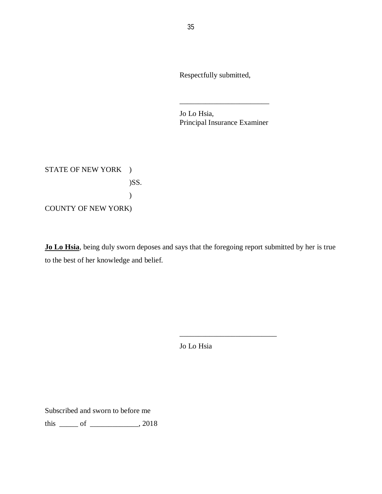Respectfully submitted,

 Jo Lo Hsia, Principal Insurance Examiner

\_\_\_\_\_\_\_\_\_\_\_\_\_\_\_\_\_\_\_\_\_\_\_\_

STATE OF NEW YORK ) COUNTY OF NEW YORK) )SS. )

 **Jo Lo Hsia**, being duly sworn deposes and says that the foregoing report submitted by her is true to the best of her knowledge and belief.

Jo Lo Hsia

\_\_\_\_\_\_\_\_\_\_\_\_\_\_\_\_\_\_\_\_\_\_\_\_\_\_

Subscribed and sworn to before me

this \_\_\_\_\_ of \_\_\_\_\_\_\_\_\_\_\_\_\_, 2018